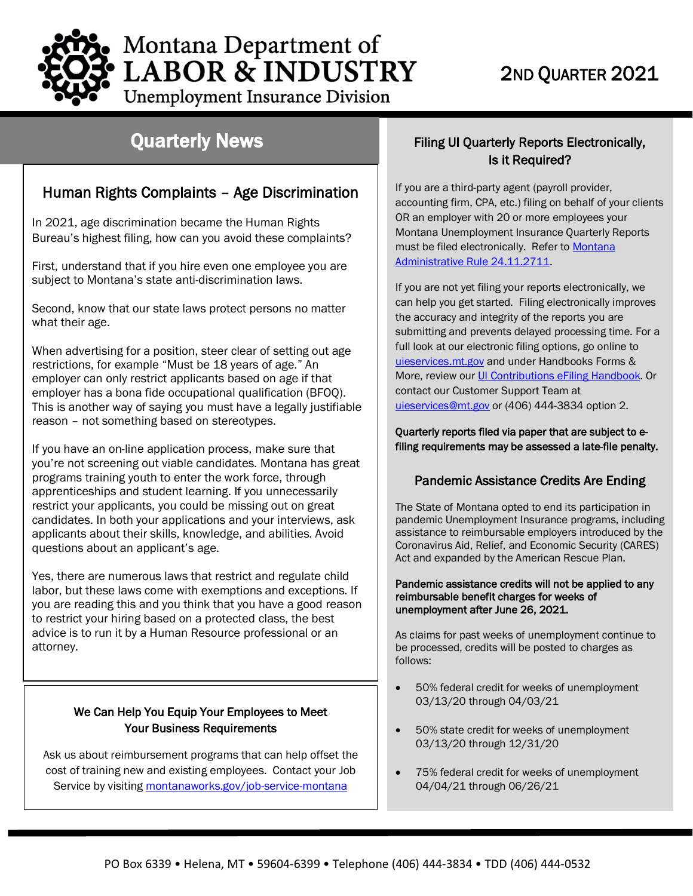

**Unemployment Insurance Division** 

## Quarterly News

## Human Rights Complaints – Age Discrimination

In 2021, age discrimination became the Human Rights Bureau's highest filing, how can you avoid these complaints?

First, understand that if you hire even one employee you are subject to Montana's state anti-discrimination laws.

Second, know that our state laws protect persons no matter what their age.

When advertising for a position, steer clear of setting out age restrictions, for example "Must be 18 years of age." An employer can only restrict applicants based on age if that employer has a bona fide occupational qualification (BFOQ). This is another way of saying you must have a legally justifiable reason – not something based on stereotypes.

If you have an on-line application process, make sure that you're not screening out viable candidates. Montana has great programs training youth to enter the work force, through apprenticeships and student learning. If you unnecessarily restrict your applicants, you could be missing out on great candidates. In both your applications and your interviews, ask applicants about their skills, knowledge, and abilities. Avoid questions about an applicant's age.

Yes, there are numerous laws that restrict and regulate child labor, but these laws come with exemptions and exceptions. If you are reading this and you think that you have a good reason to restrict your hiring based on a protected class, the best advice is to run it by a Human Resource professional or an attorney.

## We Can Help You Equip Your Employees to Meet Your Business Requirements

Ask us about reimbursement programs that can help offset the cost of training new and existing employees. Contact your Job Service by visiting [montanaworks.gov/job-service-montana](https://montanaworks.gov/job-service-montana)

## Filing UI Quarterly Reports Electronically, Is it Required?

If you are a third-party agent (payroll provider, accounting firm, CPA, etc.) filing on behalf of your clients OR an employer with 20 or more employees your Montana Unemployment Insurance Quarterly Reports must be filed electronically. Refer to Montana [Administrative Rule 24.11.2711.](http://www.mtrules.org/gateway/ruleno.asp?RN=24%2E11%2E2711)

If you are not yet filing your reports electronically, we can help you get started. Filing electronically improves the accuracy and integrity of the reports you are submitting and prevents delayed processing time. For a full look at our electronic filing options, go online to [uieservices.mt.gov](https://uieservices.mt.gov/_/) and under Handbooks Forms & More, review our [UI Contributions eFiling Handbook.](https://uid.dli.mt.gov/_docs/eServices/efiling-handbook.pdf) Or contact our Customer Support Team at [uieservices@mt.gov](mailto:uieservices@mt.gov) or (406) 444-3834 option 2.

### Quarterly reports filed via paper that are subject to efiling requirements may be assessed a late-file penalty.

## Pandemic Assistance Credits Are Ending

The State of Montana opted to end its participation in pandemic Unemployment Insurance programs, including assistance to reimbursable employers introduced by the Coronavirus Aid, Relief, and Economic Security (CARES) Act and expanded by the American Rescue Plan.

### Pandemic assistance credits will not be applied to any reimbursable benefit charges for weeks of unemployment after June 26, 2021.

As claims for past weeks of unemployment continue to be processed, credits will be posted to charges as follows:

- 50% federal credit for weeks of unemployment 03/13/20 through 04/03/21
- 50% state credit for weeks of unemployment 03/13/20 through 12/31/20
- 75% federal credit for weeks of unemployment 04/04/21 through 06/26/21